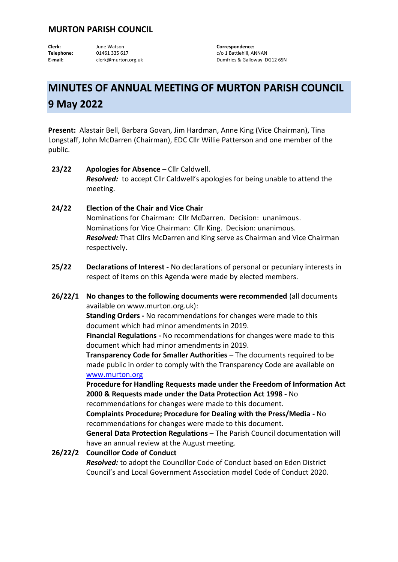## **MURTON PARISH COUNCIL**

**Clerk:** June Watson **Correspondence:** Telephone: 01461 335 617 c/o 1 Battlehill, ANNAN

E-mail: clerk@murton.org.uk Dumfries & Galloway DG12 6SN

## **MINUTES OF ANNUAL MEETING OF MURTON PARISH COUNCIL 9 May 2022**

**Present:** Alastair Bell, Barbara Govan, Jim Hardman, Anne King (Vice Chairman), Tina Longstaff, John McDarren (Chairman), EDC Cllr Willie Patterson and one member of the public.

- **23/22 Apologies for Absence** Cllr Caldwell. *Resolved:* to accept Cllr Caldwell's apologies for being unable to attend the meeting.
- **24/22 Election of the Chair and Vice Chair**  Nominations for Chairman: Cllr McDarren. Decision: unanimous. Nominations for Vice Chairman: Cllr King. Decision: unanimous. *Resolved:* That Cllrs McDarren and King serve as Chairman and Vice Chairman respectively.
- **25/22 Declarations of Interest -** No declarations of personal or pecuniary interests in respect of items on this Agenda were made by elected members.
- **26/22/1 No changes to the following documents were recommended** (all documents available on www.murton.org.uk):

**Standing Orders -** No recommendations for changes were made to this document which had minor amendments in 2019.

**Financial Regulations -** No recommendations for changes were made to this document which had minor amendments in 2019.

**Transparency Code for Smaller Authorities** – The documents required to be made public in order to comply with the Transparency Code are available on [www.murton.org](http://www.murton.org/)

**Procedure for Handling Requests made under the Freedom of Information Act 2000 & Requests made under the Data Protection Act 1998 -** No recommendations for changes were made to this document.

**Complaints Procedure; Procedure for Dealing with the Press/Media -** No recommendations for changes were made to this document.

**General Data Protection Regulations** – The Parish Council documentation will have an annual review at the August meeting.

**26/22/2 Councillor Code of Conduct**  *Resolved:* to adopt the Councillor Code of Conduct based on Eden District Council's and Local Government Association model Code of Conduct 2020.